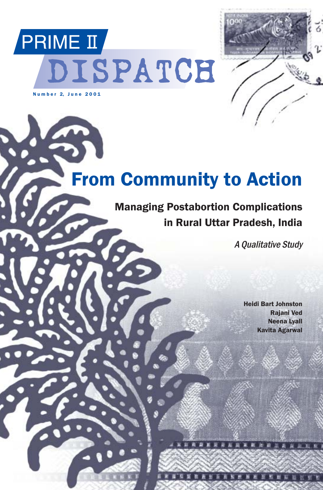



# From Community to Action

### Managing Postabortion Complications in Rural Uttar Pradesh, India

A Qualitative Study

Heidi Bart Johnston Rajani Ved Neena Lyall Kavita Agarwal

1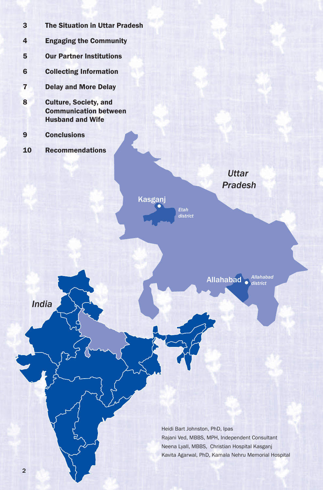| $\overline{3}$ | <b>The Situation in Uttar Pradesh</b>                                                   |
|----------------|-----------------------------------------------------------------------------------------|
| 4              | <b>Engaging the Community</b>                                                           |
| 5              | <b>Our Partner Institutions</b>                                                         |
| $6\phantom{1}$ | <b>Collecting Information</b>                                                           |
| $\overline{7}$ | <b>Delay and More Delay</b>                                                             |
| 8              | <b>Culture, Society, and</b><br><b>Communication between</b><br><b>Husband and Wife</b> |
| 9              | <b>Conclusions</b>                                                                      |
| 10             | <b>Recommendations</b>                                                                  |
|                | <b>Uttar</b><br><b>Pradesh</b>                                                          |
|                | Kasganj<br><b>Etah</b><br>district                                                      |
|                |                                                                                         |
| <b>India</b>   | Allahabad<br><b>Allahabad</b><br>district                                               |

Heidi Bart Johnston, PhD, Ipas Rajani Ved, MBBS, MPH, Independent Consultant Neena Lyall, MBBS, Christian Hospital Kasganj Kavita Agarwal, PhD, Kamala Nehru Memorial Hospital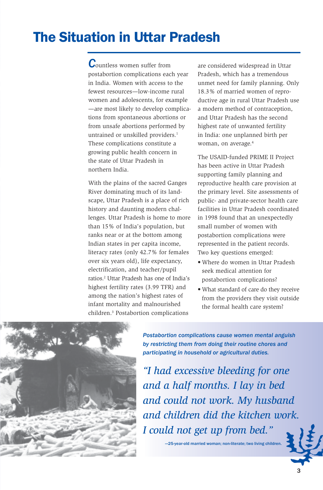## The Situation in Uttar Pradesh

*C*ountless women suffer from postabortion complications each year in India. Women with access to the fewest resources—low-income rural women and adolescents, for example —are most likely to develop complications from spontaneous abortions or from unsafe abortions performed by untrained or unskilled providers.<sup>1</sup> These complications constitute a growing public health concern in the state of Uttar Pradesh in northern India.

With the plains of the sacred Ganges River dominating much of its landscape, Uttar Pradesh is a place of rich history and daunting modern challenges. Uttar Pradesh is home to more than 15% of India's population, but ranks near or at the bottom among Indian states in per capita income, literacy rates (only 42.7% for females over six years old), life expectancy, electrification, and teacher/pupil ratios.2 Uttar Pradesh has one of India's highest fertility rates (3.99 TFR) and among the nation's highest rates of infant mortality and malnourished children.3 Postabortion complications

are considered widespread in Uttar Pradesh, which has a tremendous unmet need for family planning. Only 18.3% of married women of reproductive age in rural Uttar Pradesh use a modern method of contraception, and Uttar Pradesh has the second highest rate of unwanted fertility in India: one unplanned birth per woman, on average.<sup>4</sup>

The USAID-funded PRIME II Project has been active in Uttar Pradesh supporting family planning and reproductive health care provision at the primary level. Site assessments of public- and private-sector health care facilities in Uttar Pradesh coordinated in 1998 found that an unexpectedly small number of women with postabortion complications were represented in the patient records. Two key questions emerged:

- Where do women in Uttar Pradesh seek medical attention for postabortion complications?
- What standard of care do they receive from the providers they visit outside the formal health care system?



*Postabortion complications cause women mental anguish by restricting them from doing their routine chores and participating in household or agricultural duties.*

*"I had excessive bleeding for one and a half months. I lay in bed and could not work. My husband and children did the kitchen work. I could not get up from bed."*

—25-year-old married woman; non-literate; two living children.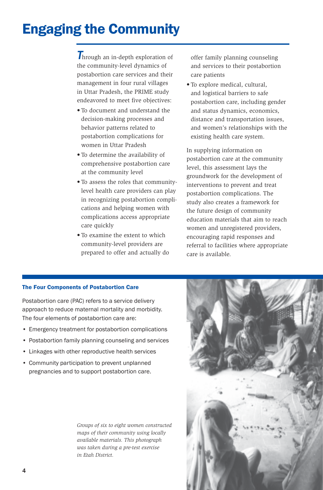## Engaging the Community

**Through an in-depth exploration of** the community-level dynamics of postabortion care services and their management in four rural villages in Uttar Pradesh, the PRIME study endeavored to meet five objectives:

- To document and understand the decision-making processes and behavior patterns related to postabortion complications for women in Uttar Pradesh
- To determine the availability of comprehensive postabortion care at the community level
- To assess the roles that communitylevel health care providers can play in recognizing postabortion complications and helping women with complications access appropriate care quickly
- To examine the extent to which community-level providers are prepared to offer and actually do

offer family planning counseling and services to their postabortion care patients

• To explore medical, cultural, and logistical barriers to safe postabortion care, including gender and status dynamics, economics, distance and transportation issues, and women's relationships with the existing health care system.

In supplying information on postabortion care at the community level, this assessment lays the groundwork for the development of interventions to prevent and treat postabortion complications. The study also creates a framework for the future design of community education materials that aim to reach women and unregistered providers, encouraging rapid responses and referral to facilities where appropriate care is available.

### The Four Components of Postabortion Care

Postabortion care (PAC) refers to a service delivery approach to reduce maternal mortality and morbidity. The four elements of postabortion care are:

- Emergency treatment for postabortion complications
- Postabortion family planning counseling and services
- Linkages with other reproductive health services
- Community participation to prevent unplanned pregnancies and to support postabortion care.

*Groups of six to eight women constructed maps of their community using locally available materials. This photograph was taken during a pre-test exercise in Etah District.*

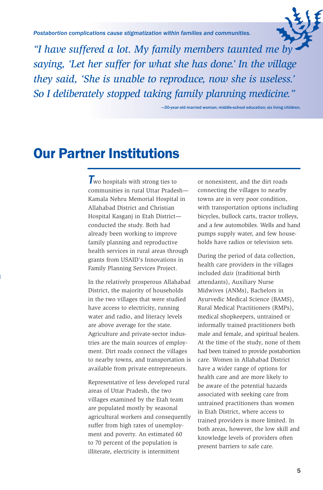*Postabortion complications cause stigmatization within families and communities.*



*"I have suffered a lot. My family members taunted me by saying, 'Let her suffer for what she has done.' In the village they said, 'She is unable to reproduce, now she is useless.' So I deliberately stopped taking family planning medicine."*

—30-year-old married woman; middle-school education; six living children.

### Our Partner Institutions

*T*wo hospitals with strong ties to communities in rural Uttar Pradesh— Kamala Nehru Memorial Hospital in Allahabad District and Christian Hospital Kasganj in Etah District conducted the study. Both had already been working to improve family planning and reproductive health services in rural areas through grants from USAID's Innovations in Family Planning Services Project.

In the relatively prosperous Allahabad District, the majority of households in the two villages that were studied have access to electricity, running water and radio, and literacy levels are above average for the state. Agriculture and private-sector industries are the main sources of employment. Dirt roads connect the villages to nearby towns, and transportation is available from private entrepreneurs.

Representative of less developed rural areas of Uttar Pradesh, the two villages examined by the Etah team are populated mostly by seasonal agricultural workers and consequently suffer from high rates of unemployment and poverty. An estimated 60 to 70 percent of the population is illiterate, electricity is intermittent

or nonexistent, and the dirt roads connecting the villages to nearby towns are in very poor condition, with transportation options including bicycles, bullock carts, tractor trolleys, and a few automobiles. Wells and hand pumps supply water, and few households have radios or television sets.

During the period of data collection, health care providers in the villages included *dais* (traditional birth attendants), Auxiliary Nurse Midwives (ANMs), Bachelors in Ayurvedic Medical Science (BAMS), Rural Medical Practitioners (RMPs), medical shopkeepers, untrained or informally trained practitioners both male and female, and spiritual healers. At the time of the study, none of them had been trained to provide postabortion care. Women in Allahabad District have a wider range of options for health care and are more likely to be aware of the potential hazards associated with seeking care from untrained practitioners than women in Etah District, where access to trained providers is more limited. In both areas, however, the low skill and knowledge levels of providers often present barriers to safe care.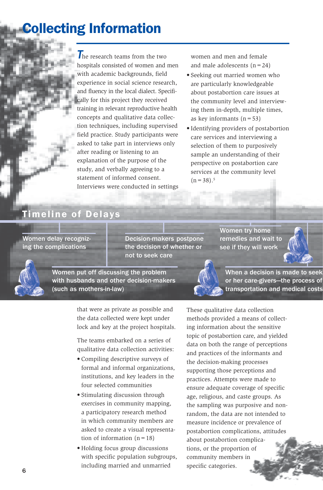## Collecting Information

*T*he research teams from the two hospitals consisted of women and men with academic backgrounds, field experience in social science research, and fluency in the local dialect. Specifically for this project they received training in relevant reproductive health concepts and qualitative data collection techniques, including supervised field practice. Study participants were asked to take part in interviews only after reading or listening to an explanation of the purpose of the study, and verbally agreeing to a statement of informed consent. Interviews were conducted in settings

women and men and female and male adolescents  $(n=24)$ 

- Seeking out married women who are particularly knowledgeable about postabortion care issues at the community level and interviewing them in-depth, multiple times, as key informants  $(n=53)$
- Identifying providers of postabortion care services and interviewing a selection of them to purposively sample an understanding of their perspective on postabortion care services at the community level  $(n=38).$ <sup>5</sup>

### Timeline of Delays

Women delay recognizing the complications

Decision-makers postpone the decision of whether or not to seek care

Women try home remedies and wait to see if they will work



Women put off discussing the problem with husbands and other decision-makers (such as mothers-in-law)



When a decision is made to seek or her care-givers—the process of transportation and medical costs

that were as private as possible and the data collected were kept under lock and key at the project hospitals.

The teams embarked on a series of qualitative data collection activities:

- Compiling descriptive surveys of formal and informal organizations, institutions, and key leaders in the four selected communities
- Stimulating discussion through exercises in community mapping, a participatory research method in which community members are asked to create a visual representation of information  $(n=18)$
- Holding focus group discussions with specific population subgroups, including married and unmarried

These qualitative data collection methods provided a means of collecting information about the sensitive topic of postabortion care, and yielded data on both the range of perceptions and practices of the informants and the decision-making processes supporting those perceptions and practices. Attempts were made to ensure adequate coverage of specific age, religious, and caste groups. As the sampling was purposive and nonrandom, the data are not intended to measure incidence or prevalence of postabortion complications, attitudes about postabortion complications, or the proportion of community members in specific categories.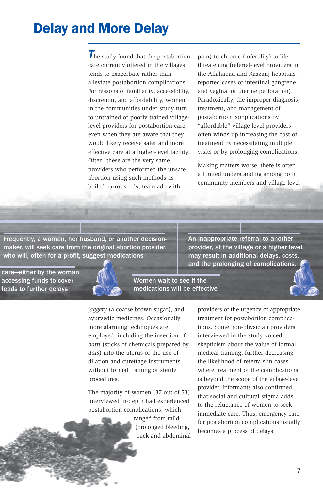## Delay and More Delay

**The study found that the postabortion** care currently offered in the villages tends to exacerbate rather than alleviate postabortion complications. For reasons of familiarity, accessibility, discretion, and affordability, women in the communities under study turn to untrained or poorly trained villagelevel providers for postabortion care, even when they are aware that they would likely receive safer and more effective care at a higher-level facility. Often, these are the very same providers who performed the unsafe abortion using such methods as boiled carrot seeds, tea made with

pain) to chronic (infertility) to life threatening (referral-level providers in the Allahabad and Kasganj hospitals reported cases of intestinal gangrene and vaginal or uterine perforation). Paradoxically, the improper diagnosis, treatment, and management of postabortion complications by "affordable" village-level providers often winds up increasing the cost of treatment by necessitating multiple visits or by prolonging complications.

Making matters worse, there is often a limited understanding among both community members and village-level

Frequently, a woman, her husband, or another decisionmaker, will seek care from the original abortion provider, who will, often for a profit, suggest medications

 care—either by the woman accessing funds to cover leads to further delays



provider, at the village or a higher level, may result in additional delays, costs, and the prolonging of complications.

An inappropriate referral to another

*jaggery* (a coarse brown sugar), and ayurvedic medicines. Occasionally more alarming techniques are employed, including the insertion of *batti* (sticks of chemicals prepared by *dais*) into the uterus or the use of dilation and curettage instruments without formal training or sterile procedures.

The majority of women (37 out of 53) interviewed in-depth had experienced postabortion complications, which

> ranged from mild (prolonged bleeding, back and abdominal

Women wait to see if the medications will be effective

> providers of the urgency of appropriate treatment for postabortion complications. Some non-physician providers interviewed in the study voiced skepticism about the value of formal medical training, further decreasing the likelihood of referrals in cases where treatment of the complications is beyond the scope of the village-level provider. Informants also confirmed that social and cultural stigma adds to the reluctance of women to seek immediate care. Thus, emergency care for postabortion complications usually becomes a process of delays.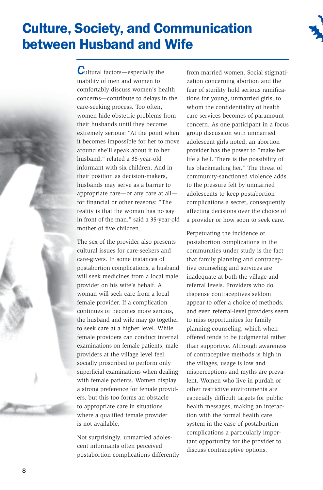## Culture, Society, and Communication between Husband and Wife



*C*ultural factors—especially the inability of men and women to comfortably discuss women's health concerns—contribute to delays in the care-seeking process. Too often, women hide obstetric problems from their husbands until they become extremely serious: "At the point when it becomes impossible for her to move around she'll speak about it to her husband," related a 35-year-old informant with six children. And in their position as decision-makers, husbands may serve as a barrier to appropriate care—or any care at all for financial or other reasons: "The reality is that the woman has no say in front of the man," said a 35-year-old mother of five children.

The sex of the provider also presents cultural issues for care-seekers and care-givers. In some instances of postabortion complications, a husband will seek medicines from a local male provider on his wife's behalf. A woman will seek care from a local female provider. If a complication continues or becomes more serious, the husband and wife may go together to seek care at a higher level. While female providers can conduct internal examinations on female patients, male providers at the village level feel socially proscribed to perform only superficial examinations when dealing with female patients. Women display a strong preference for female providers, but this too forms an obstacle to appropriate care in situations where a qualified female provider is not available.

Not surprisingly, unmarried adolescent informants often perceived postabortion complications differently from married women. Social stigmatization concerning abortion and the fear of sterility hold serious ramifications for young, unmarried girls, to whom the confidentiality of health care services becomes of paramount concern. As one participant in a focus group discussion with unmarried adolescent girls noted, an abortion provider has the power to "make her life a hell. There is the possibility of his blackmailing her." The threat of community-sanctioned violence adds to the pressure felt by unmarried adolescents to keep postabortion complications a secret, consequently affecting decisions over the choice of a provider or how soon to seek care.

Perpetuating the incidence of postabortion complications in the communities under study is the fact that family planning and contraceptive counseling and services are inadequate at both the village and referral levels. Providers who do dispense contraceptives seldom appear to offer a choice of methods, and even referral-level providers seem to miss opportunities for family planning counseling, which when offered tends to be judgmental rather than supportive. Although awareness of contraceptive methods is high in the villages, usage is low and misperceptions and myths are prevalent. Women who live in purdah or other restrictive environments are especially difficult targets for public health messages, making an interaction with the formal health care system in the case of postabortion complications a particularly important opportunity for the provider to discuss contraceptive options.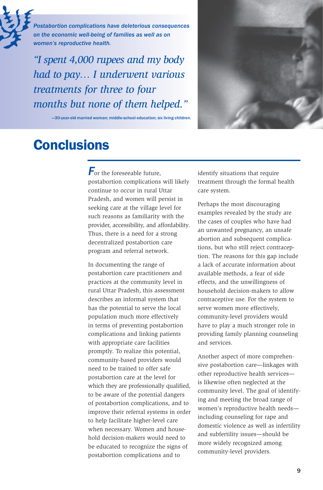

*Postabortion complications have deleterious consequences on the economic well-being of families as well as on women's reproductive health.*

*"I spent 4,000 rupees and my body had to pay… I underwent various treatments for three to four months but none of them helped."*

—30-year-old married woman; middle-school education; six living children.



### **Conclusions**

*F*or the foreseeable future, postabortion complications will likely continue to occur in rural Uttar Pradesh, and women will persist in seeking care at the village level for such reasons as familiarity with the provider, accessibility, and affordability. Thus, there is a need for a strong decentralized postabortion care program and referral network.

In documenting the range of postabortion care practitioners and practices at the community level in rural Uttar Pradesh, this assessment describes an informal system that has the potential to serve the local population much more effectively in terms of preventing postabortion complications and linking patients with appropriate care facilities promptly. To realize this potential, community-based providers would need to be trained to offer safe postabortion care at the level for which they are professionally qualified, to be aware of the potential dangers of postabortion complications, and to improve their referral systems in order to help facilitate higher-level care when necessary. Women and household decision-makers would need to be educated to recognize the signs of postabortion complications and to

identify situations that require treatment through the formal health care system.

Perhaps the most discouraging examples revealed by the study are the cases of couples who have had an unwanted pregnancy, an unsafe abortion and subsequent complications, but who still reject contraception. The reasons for this gap include a lack of accurate information about available methods, a fear of side effects, and the unwillingness of household decision-makers to allow contraceptive use. For the system to serve women more effectively, community-level providers would have to play a much stronger role in providing family planning counseling and services.

Another aspect of more comprehensive postabortion care—linkages with other reproductive health services is likewise often neglected at the community level. The goal of identifying and meeting the broad range of women's reproductive health needs including counseling for rape and domestic violence as well as infertility and subfertility issues—should be more widely recognized among community-level providers.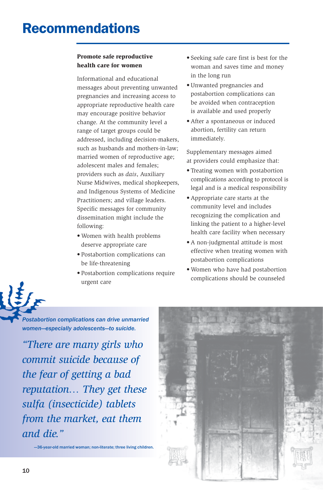#### **Promote safe reproductive health care for women**

Informational and educational messages about preventing unwanted pregnancies and increasing access to appropriate reproductive health care may encourage positive behavior change. At the community level a range of target groups could be addressed, including decision-makers, such as husbands and mothers-in-law; married women of reproductive age; adolescent males and females; providers such as *dais*, Auxiliary Nurse Midwives, medical shopkeepers, and Indigenous Systems of Medicine Practitioners; and village leaders. Specific messages for community dissemination might include the following:

- Women with health problems deserve appropriate care
- Postabortion complications can be life-threatening
- Postabortion complications require urgent care
- Seeking safe care first is best for the woman and saves time and money in the long run
- Unwanted pregnancies and postabortion complications can be avoided when contraception is available and used properly
- After a spontaneous or induced abortion, fertility can return immediately.

Supplementary messages aimed at providers could emphasize that:

- Treating women with postabortion complications according to protocol is legal and is a medical responsibility
- Appropriate care starts at the community level and includes recognizing the complication and linking the patient to a higher-level health care facility when necessary
- A non-judgmental attitude is most effective when treating women with postabortion complications
- Women who have had postabortion complications should be counseled

*Postabortion complications can drive unmarried women—especially adolescents—to suicide.*

*"There are many girls who commit suicide because of the fear of getting a bad reputation… They get these sulfa (insecticide) tablets from the market, eat them and die."*

—36-year-old married woman; non-literate; three living children.

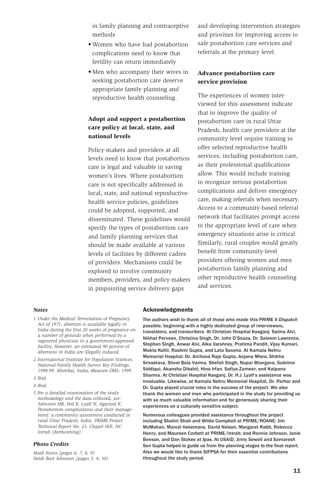in family planning and contraceptive methods

- Women who have had postabortion complications need to know that fertility can return immediately
- Men who accompany their wives in seeking postabortion care deserve appropriate family planning and reproductive health counseling.

### **Adopt and support a postabortion care policy at local, state, and national levels**

Policy-makers and providers at all levels need to know that postabortion care is legal and valuable in saving women's lives. Where postabortion care is not specifically addressed in local, state, and national reproductivehealth service policies, guidelines could be adopted, supported, and disseminated. These guidelines would specify the types of postabortion care and family planning services that should be made available at various levels of facilities by different cadres of providers. Mechanisms could be explored to involve community members, providers, and policy-makers in pinpointing service delivery gaps

and developing intervention strategies and priorities for improving access to safe postabortion care services and referrals at the primary level.

#### **Advance postabortion care service provision**

The experiences of women interviewed for this assessment indicate that to improve the quality of postabortion care in rural Uttar Pradesh, health care providers at the community level require training to offer selected reproductive health services, including postabortion care, as their professional qualifications allow. This would include training to recognize serious postabortion complications and deliver emergency care, making referrals when necessary. Access to a community-based referral network that facilitates prompt access to the appropriate level of care when emergency situations arise is critical. Similarly, rural couples would greatly benefit from community-level providers offering women and men postabortion family planning and other reproductive health counseling and services.

#### *Notes*

- *1 Under the Medical Termination of Pregnancy Act of 1971, abortion is available legally in India during the first 20 weeks of pregnancy on a number of grounds when performed by a registered physician in a government-approved facility. However, an estimated 90 percent of abortions in India are illegally induced.*
- *2 International Institute for Population Sciences. National Family Health Survey Key Findings, 1998-99. Mumbai, India, Measure DHS; 1999.*
- *3 Ibid.*

*5 For a detailed examination of the study methodology and the data collected, see: Johnston HB, Ved R, Lyall N, Agarwal K. Postabortion complications and their management: a community assessment conducted in rural Uttar Pradesh, India. PRIME Project Technical Report No. 23. Chapel Hill, NC: Intrah (forthcoming).*

#### *Photo Credits*

*Noah Evens (pages 6, 7, 8, 9) Heidi Bart Johnston (pages 3, 4, 10)*

#### Acknowledgments

The authors wish to thank all of those who made this PRIME II *Dispatch* possible, beginning with a highly dedicated group of interviewers, translators, and transcribers. At Christian Hospital Kasganj: Salma Alvi, Nikhat Perveen, Christina Singh, Dr. John D'Souza, Dr. Saleem Lawrence, Stephen Singh, Anwar Alvi, Alka Varshney, Pratima Pandit, Vijay Kumari, Mukta Kohli, Rashmi Gupta, and Lata Saxena. At Kamala Nehru Memorial Hospital: Dr. Archana Raje Gupta, Anjana Misra, Shikha Srivastava, Sheel Bala Varma, Shefali Singh, Nupur Bhargava, Suleima Siddiqui, Akansha Dikshit, Hina Irfan, Safiya Zameer, and Kalpana Sharma. At Christian Hospital Kasganj, Dr. H.J. Lyall's assistance was invaluable. Likewise, at Kamala Nehru Memorial Hospital, Dr. Perhar and Dr. Gupta played crucial roles in the success of the project. We also thank the women and men who participated in the study for providing us with so much valuable information and for generously sharing their experiences on a culturally sensitive subject.

Numerous colleagues provided assistance throughout the project including Shalini Shah and Wilda Campbell at PRIME/ROANE; Jim McMahan, Marcel Vekemans, David Nelson, Margaret Rabb, Rebecca Henry, and Maureen Corbett at PRIME/Intrah; and Ronnie Johnson, Janie Benson, and Dan Stokes at Ipas. At USAID, Jinny Sewell and Samaresh Sen Gupta helped to guide us from the planning stages to the final report. Also we would like to thank SIFPSA for their essential contributions throughout the study period.

*<sup>4</sup> Ibid.*